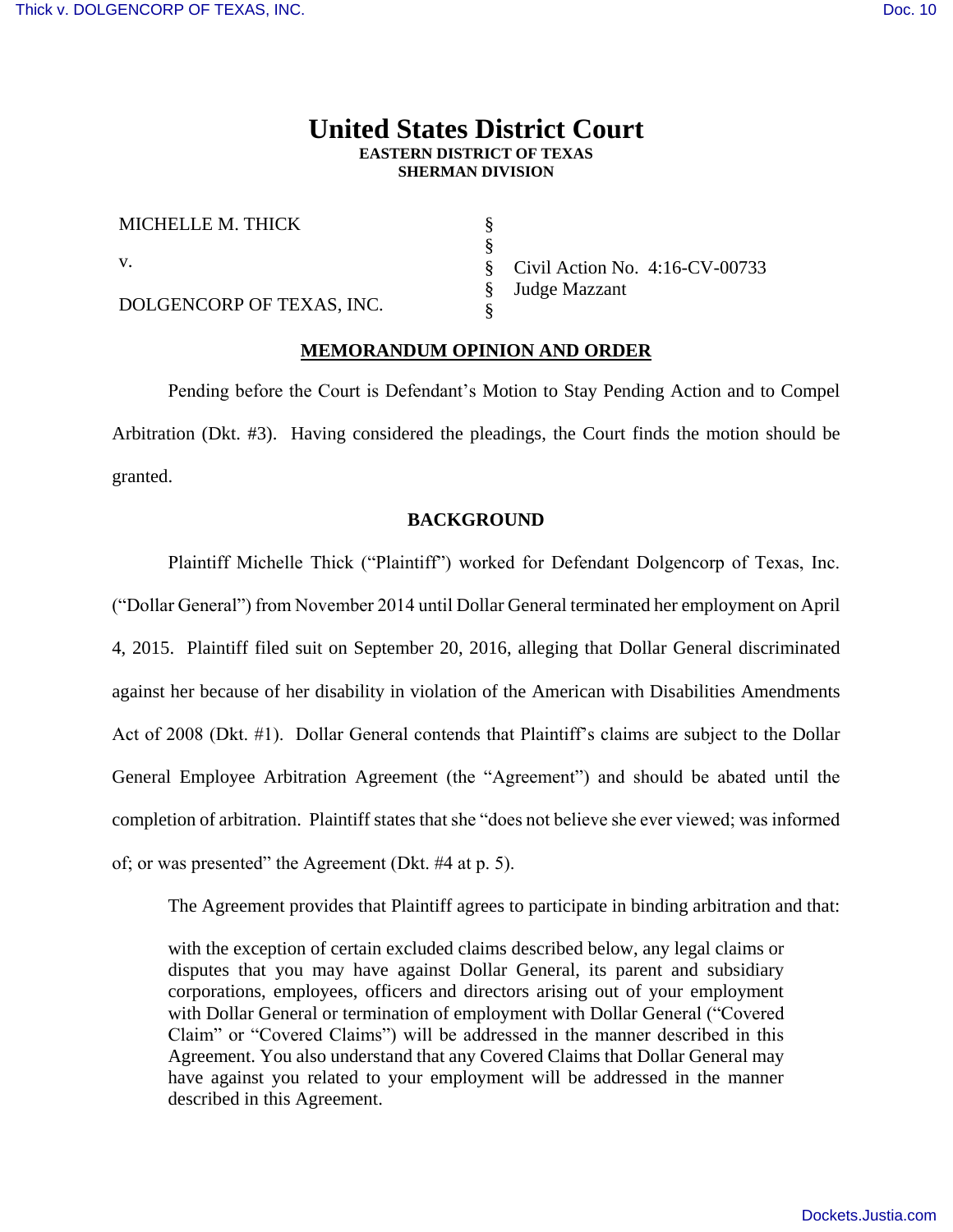## **United States District Court EASTERN DISTRICT OF TEXAS SHERMAN DIVISION**

§

| MICHELLE M. THICK         |
|---------------------------|
| V.                        |
| DOLGENCORP OF TEXAS, INC. |

§ § § § Civil Action No. 4:16-CV-00733 Judge Mazzant

### **MEMORANDUM OPINION AND ORDER**

Pending before the Court is Defendant's Motion to Stay Pending Action and to Compel Arbitration (Dkt. #3). Having considered the pleadings, the Court finds the motion should be granted.

### **BACKGROUND**

Plaintiff Michelle Thick ("Plaintiff") worked for Defendant Dolgencorp of Texas, Inc. ("Dollar General") from November 2014 until Dollar General terminated her employment on April 4, 2015. Plaintiff filed suit on September 20, 2016, alleging that Dollar General discriminated against her because of her disability in violation of the American with Disabilities Amendments Act of 2008 (Dkt. #1). Dollar General contends that Plaintiff's claims are subject to the Dollar General Employee Arbitration Agreement (the "Agreement") and should be abated until the completion of arbitration. Plaintiff states that she "does not believe she ever viewed; was informed of; or was presented" the Agreement (Dkt. #4 at p. 5).

The Agreement provides that Plaintiff agrees to participate in binding arbitration and that:

with the exception of certain excluded claims described below, any legal claims or disputes that you may have against Dollar General, its parent and subsidiary corporations, employees, officers and directors arising out of your employment with Dollar General or termination of employment with Dollar General ("Covered Claim" or "Covered Claims") will be addressed in the manner described in this Agreement. You also understand that any Covered Claims that Dollar General may have against you related to your employment will be addressed in the manner described in this Agreement.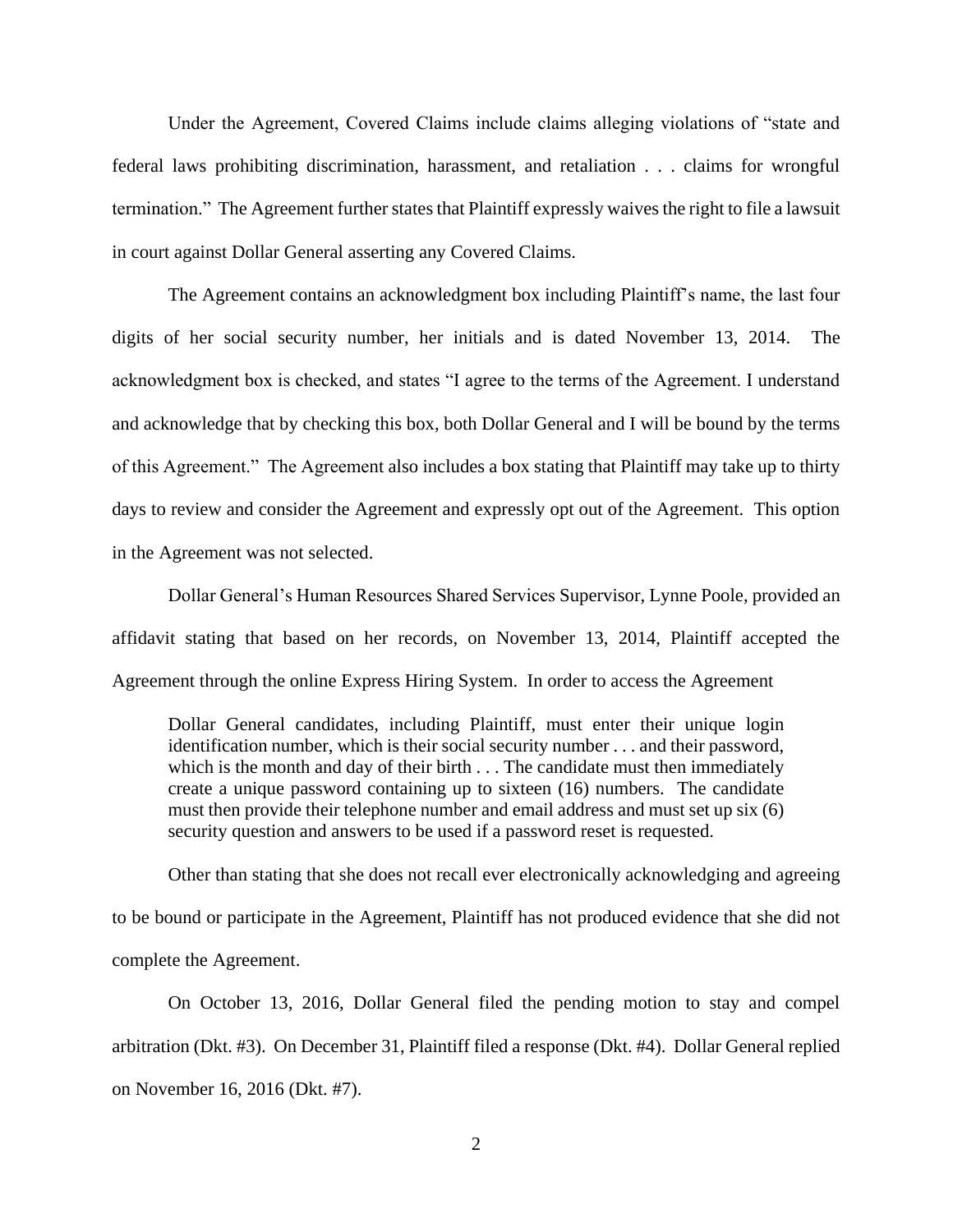Under the Agreement, Covered Claims include claims alleging violations of "state and federal laws prohibiting discrimination, harassment, and retaliation . . . claims for wrongful termination." The Agreement further states that Plaintiff expressly waives the right to file a lawsuit in court against Dollar General asserting any Covered Claims.

The Agreement contains an acknowledgment box including Plaintiff's name, the last four digits of her social security number, her initials and is dated November 13, 2014. The acknowledgment box is checked, and states "I agree to the terms of the Agreement. I understand and acknowledge that by checking this box, both Dollar General and I will be bound by the terms of this Agreement." The Agreement also includes a box stating that Plaintiff may take up to thirty days to review and consider the Agreement and expressly opt out of the Agreement. This option in the Agreement was not selected.

Dollar General's Human Resources Shared Services Supervisor, Lynne Poole, provided an affidavit stating that based on her records, on November 13, 2014, Plaintiff accepted the Agreement through the online Express Hiring System. In order to access the Agreement

Dollar General candidates, including Plaintiff, must enter their unique login identification number, which is their social security number . . . and their password, which is the month and day of their birth . . . The candidate must then immediately create a unique password containing up to sixteen (16) numbers. The candidate must then provide their telephone number and email address and must set up six (6) security question and answers to be used if a password reset is requested.

Other than stating that she does not recall ever electronically acknowledging and agreeing to be bound or participate in the Agreement, Plaintiff has not produced evidence that she did not complete the Agreement.

On October 13, 2016, Dollar General filed the pending motion to stay and compel arbitration (Dkt. #3). On December 31, Plaintiff filed a response (Dkt. #4). Dollar General replied on November 16, 2016 (Dkt. #7).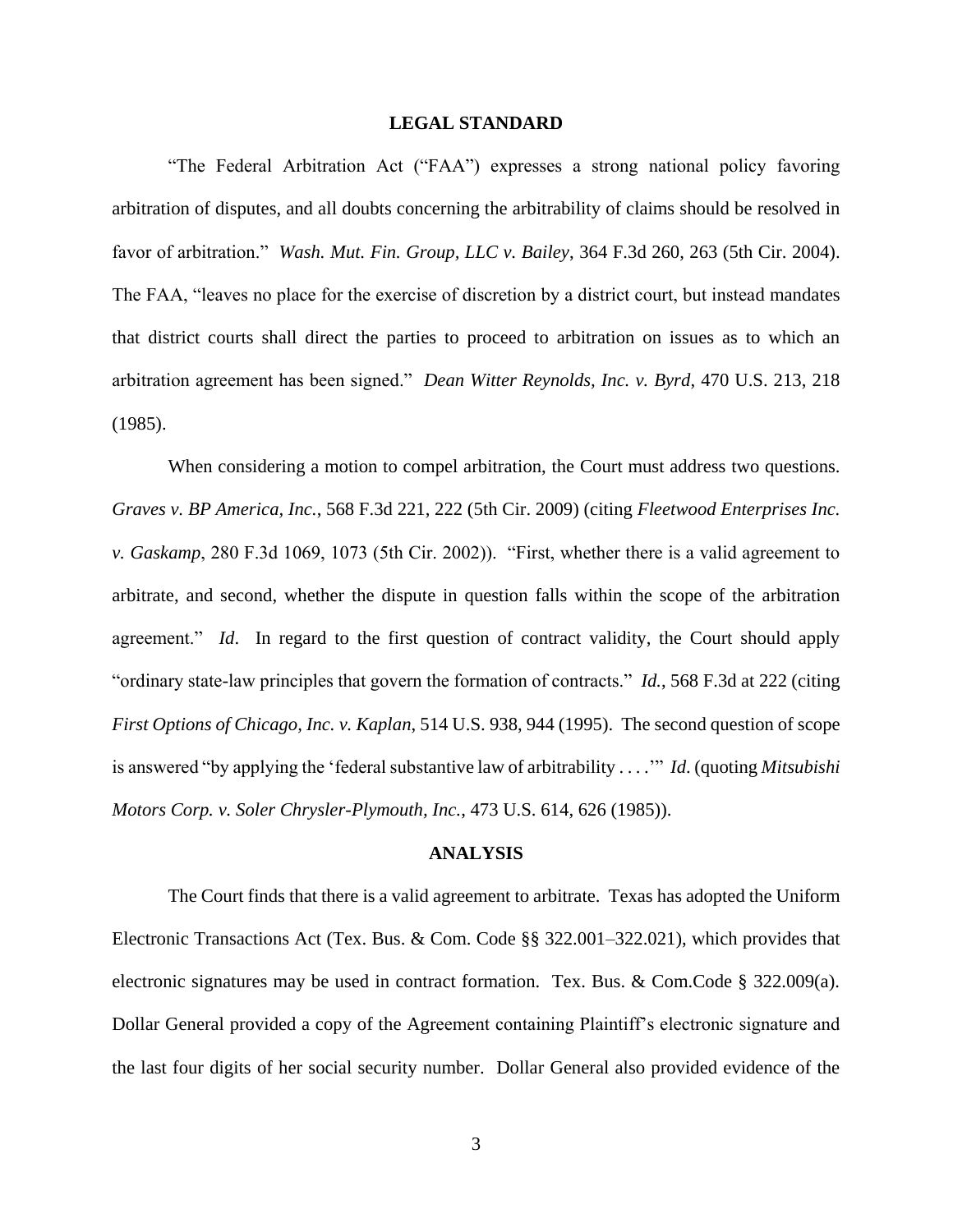#### **LEGAL STANDARD**

"The Federal Arbitration Act ("FAA") expresses a strong national policy favoring arbitration of disputes, and all doubts concerning the arbitrability of claims should be resolved in favor of arbitration." *Wash. Mut. Fin. Group, LLC v. Bailey*, 364 F.3d 260, 263 (5th Cir. 2004). The FAA, "leaves no place for the exercise of discretion by a district court, but instead mandates that district courts shall direct the parties to proceed to arbitration on issues as to which an arbitration agreement has been signed." *Dean Witter Reynolds, Inc. v. Byrd*, 470 U.S. 213, 218 (1985).

When considering a motion to compel arbitration, the Court must address two questions. *Graves v. BP America, Inc.*, 568 F.3d 221, 222 (5th Cir. 2009) (citing *Fleetwood Enterprises Inc. v. Gaskamp*, 280 F.3d 1069, 1073 (5th Cir. 2002)). "First, whether there is a valid agreement to arbitrate, and second, whether the dispute in question falls within the scope of the arbitration agreement." *Id*. In regard to the first question of contract validity, the Court should apply "ordinary state-law principles that govern the formation of contracts." *Id.*, 568 F.3d at 222 (citing *First Options of Chicago, Inc. v. Kaplan*, 514 U.S. 938, 944 (1995). The second question of scope is answered "by applying the 'federal substantive law of arbitrability . . . .'" *Id*. (quoting *Mitsubishi Motors Corp. v. Soler Chrysler-Plymouth, Inc.*, 473 U.S. 614, 626 (1985)).

#### **ANALYSIS**

The Court finds that there is a valid agreement to arbitrate. Texas has adopted the Uniform Electronic Transactions Act (Tex. Bus. & Com. Code §§ 322.001–322.021), which provides that electronic signatures may be used in contract formation. Tex. Bus. & Com.Code  $\S$  322.009(a). Dollar General provided a copy of the Agreement containing Plaintiff's electronic signature and the last four digits of her social security number. Dollar General also provided evidence of the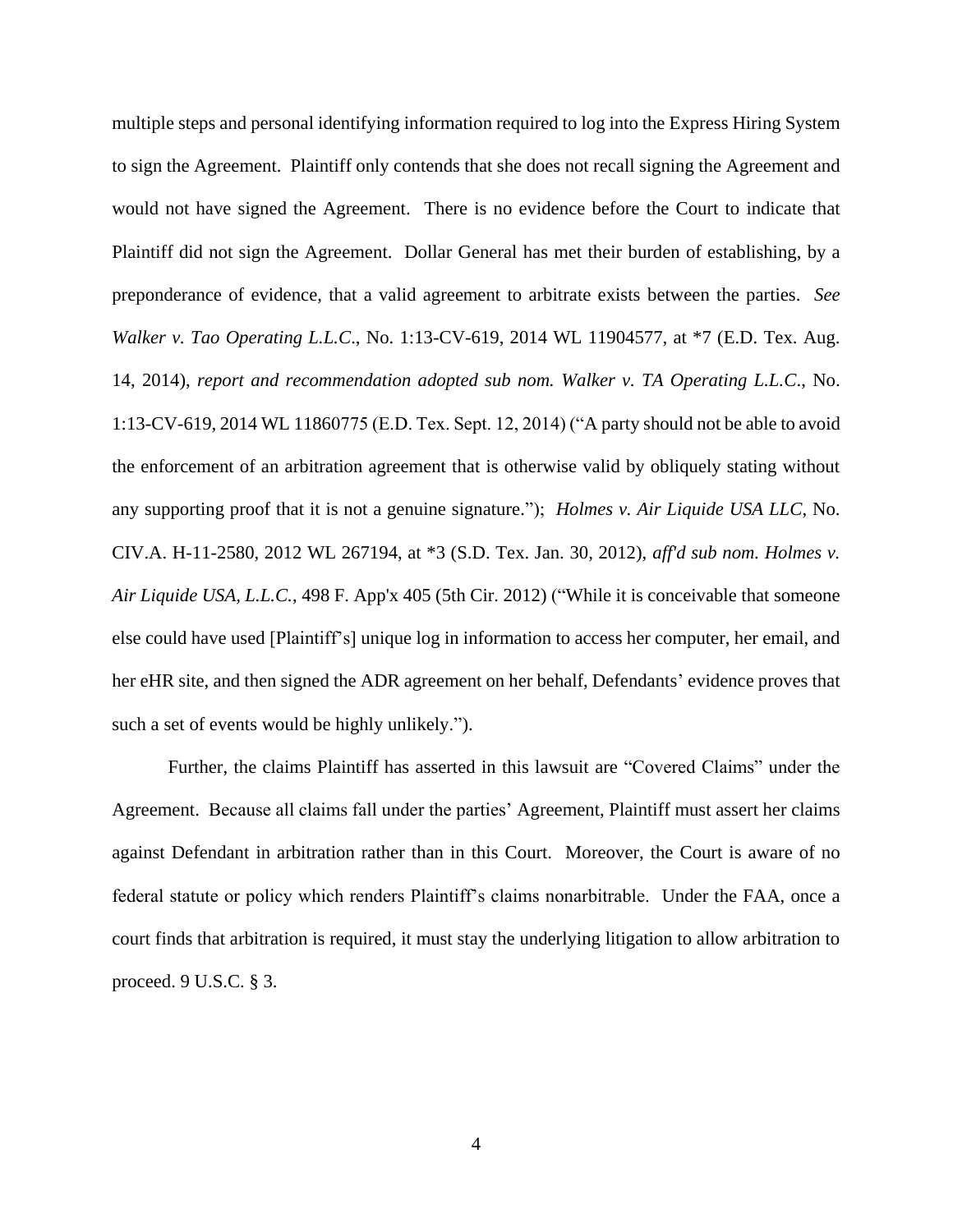multiple steps and personal identifying information required to log into the Express Hiring System to sign the Agreement. Plaintiff only contends that she does not recall signing the Agreement and would not have signed the Agreement. There is no evidence before the Court to indicate that Plaintiff did not sign the Agreement. Dollar General has met their burden of establishing, by a preponderance of evidence, that a valid agreement to arbitrate exists between the parties. *See Walker v. Tao Operating L.L.C*., No. 1:13-CV-619, 2014 WL 11904577, at \*7 (E.D. Tex. Aug. 14, 2014), *report and recommendation adopted sub nom. Walker v. TA Operating L.L.C*., No. 1:13-CV-619, 2014 WL 11860775 (E.D. Tex. Sept. 12, 2014) ("A party should not be able to avoid the enforcement of an arbitration agreement that is otherwise valid by obliquely stating without any supporting proof that it is not a genuine signature."); *Holmes v. Air Liquide USA LLC*, No. CIV.A. H-11-2580, 2012 WL 267194, at \*3 (S.D. Tex. Jan. 30, 2012), *aff'd sub nom. Holmes v. Air Liquide USA, L.L.C.*, 498 F. App'x 405 (5th Cir. 2012) ("While it is conceivable that someone else could have used [Plaintiff's] unique log in information to access her computer, her email, and her eHR site, and then signed the ADR agreement on her behalf, Defendants' evidence proves that such a set of events would be highly unlikely.").

Further, the claims Plaintiff has asserted in this lawsuit are "Covered Claims" under the Agreement. Because all claims fall under the parties' Agreement, Plaintiff must assert her claims against Defendant in arbitration rather than in this Court. Moreover, the Court is aware of no federal statute or policy which renders Plaintiff's claims nonarbitrable. Under the FAA, once a court finds that arbitration is required, it must stay the underlying litigation to allow arbitration to proceed. 9 U.S.C. § 3.